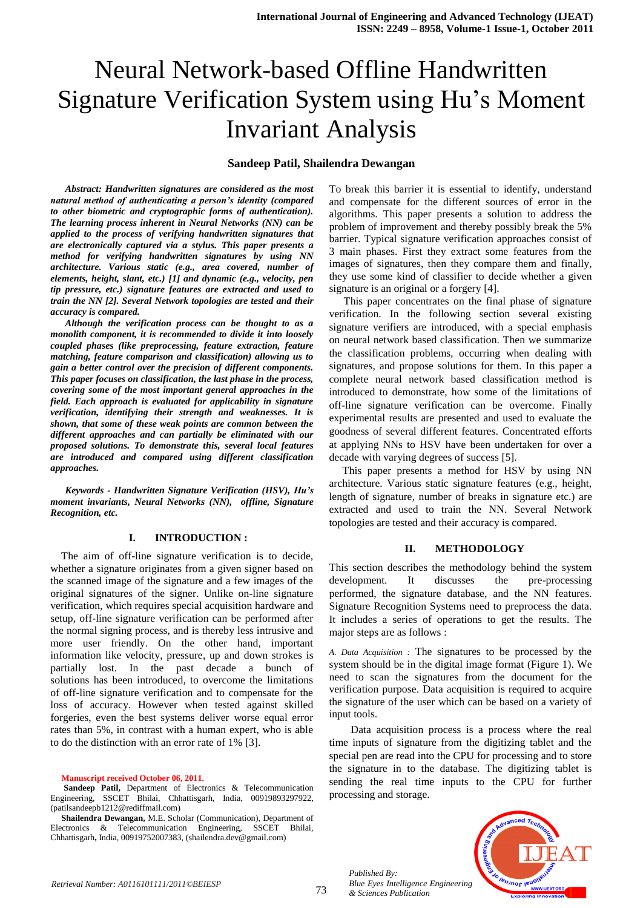# Neural Network-based Offline Handwritten Signature Verification System using Hu's Moment Invariant Analysis

## **Sandeep Patil, Shailendra Dewangan**

*Abstract: Handwritten signatures are considered as the most natural method of authenticating a person's identity (compared to other biometric and cryptographic forms of authentication). The learning process inherent in Neural Networks (NN) can be applied to the process of verifying handwritten signatures that are electronically captured via a stylus. This paper presents a method for verifying handwritten signatures by using NN architecture. Various static (e.g., area covered, number of elements, height, slant, etc.) [1] and dynamic (e.g., velocity, pen tip pressure, etc.) signature features are extracted and used to train the NN [2]. Several Network topologies are tested and their accuracy is compared.*

*Although the verification process can be thought to as a monolith component, it is recommended to divide it into loosely coupled phases (like preprocessing, feature extraction, feature matching, feature comparison and classification) allowing us to gain a better control over the precision of different components. This paper focuses on classification, the last phase in the process, covering some of the most important general approaches in the field. Each approach is evaluated for applicability in signature verification, identifying their strength and weaknesses. It is shown, that some of these weak points are common between the different approaches and can partially be eliminated with our proposed solutions. To demonstrate this, several local features are introduced and compared using different classification approaches.*

*Keywords - Handwritten Signature Verification (HSV), Hu's moment invariants, Neural Networks (NN), offline, Signature Recognition, etc.*

### **I. INTRODUCTION :**

 The aim of off-line signature verification is to decide, whether a signature originates from a given signer based on the scanned image of the signature and a few images of the original signatures of the signer. Unlike on-line signature verification, which requires special acquisition hardware and setup, off-line signature verification can be performed after the normal signing process, and is thereby less intrusive and more user friendly. On the other hand, important information like velocity, pressure, up and down strokes is partially lost. In the past decade a bunch of solutions has been introduced, to overcome the limitations of off-line signature verification and to compensate for the loss of accuracy. However when tested against skilled forgeries, even the best systems deliver worse equal error rates than 5%, in contrast with a human expert, who is able to do the distinction with an error rate of 1% [3].

**Manuscript received October 06, 2011.** 

To break this barrier it is essential to identify, understand and compensate for the different sources of error in the algorithms. This paper presents a solution to address the problem of improvement and thereby possibly break the 5% barrier. Typical signature verification approaches consist of 3 main phases. First they extract some features from the images of signatures, then they compare them and finally, they use some kind of classifier to decide whether a given signature is an original or a forgery [4].

This paper concentrates on the final phase of signature verification. In the following section several existing signature verifiers are introduced, with a special emphasis on neural network based classification. Then we summarize the classification problems, occurring when dealing with signatures, and propose solutions for them. In this paper a complete neural network based classification method is introduced to demonstrate, how some of the limitations of off-line signature verification can be overcome. Finally experimental results are presented and used to evaluate the goodness of several different features. Concentrated efforts at applying NNs to HSV have been undertaken for over a decade with varying degrees of success [5].

 This paper presents a method for HSV by using NN architecture. Various static signature features (e.g., height, length of signature, number of breaks in signature etc.) are extracted and used to train the NN. Several Network topologies are tested and their accuracy is compared.

# **II. METHODOLOGY**

This section describes the methodology behind the system development. It discusses the pre-processing performed, the signature database, and the NN features. Signature Recognition Systems need to preprocess the data. It includes a series of operations to get the results. The major steps are as follows :

*A. Data Acquisition :* The signatures to be processed by the system should be in the digital image format (Figure 1). We need to scan the signatures from the document for the verification purpose. Data acquisition is required to acquire the signature of the user which can be based on a variety of input tools.

 Data acquisition process is a process where the real time inputs of signature from the digitizing tablet and the special pen are read into the CPU for processing and to store the signature in to the database. The digitizing tablet is sending the real time inputs to the CPU for further processing and storage.



*Published By: Blue Eyes Intelligence Engineering & Sciences Publication* 

**Sandeep Patil,** Department of Electronics & Telecommunication Engineering, SSCET Bhilai, Chhattisgarh, India, 00919893297922, (patilsandeepb1212@rediffmail.com)

**Shailendra Dewangan,** M.E. Scholar (Communication), Department of Electronics & Telecommunication Engineering, SSCET Bhilai, Chhattisgarh**,** India, 00919752007383, (shailendra.dev@gmail.com)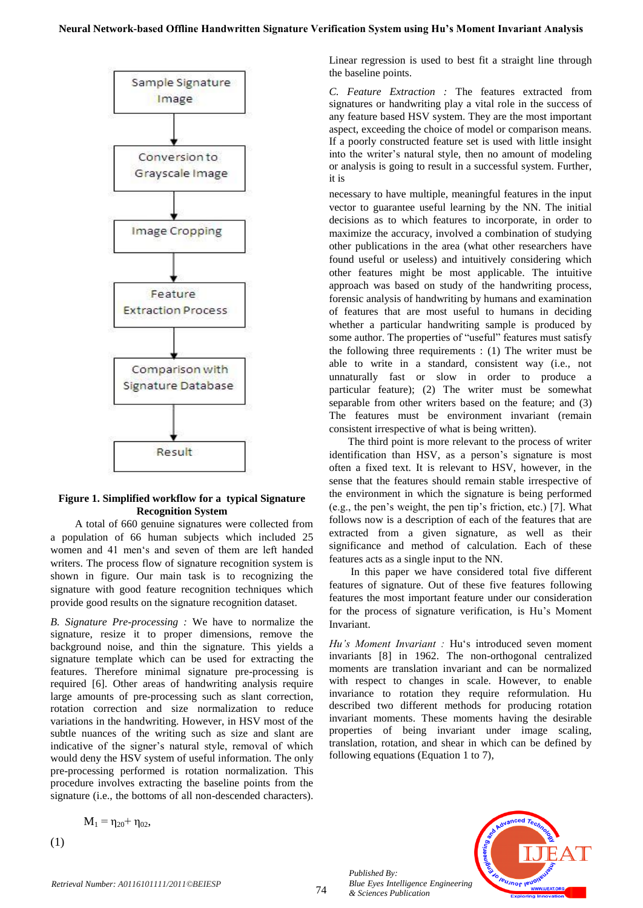

# **Figure 1. Simplified workflow for a typical Signature Recognition System**

 A total of 660 genuine signatures were collected from a population of 66 human subjects which included 25 women and 41 men's and seven of them are left handed writers. The process flow of signature recognition system is shown in figure. Our main task is to recognizing the signature with good feature recognition techniques which provide good results on the signature recognition dataset.

*B. Signature Pre-processing :* We have to normalize the signature, resize it to proper dimensions, remove the background noise, and thin the signature. This yields a signature template which can be used for extracting the features. Therefore minimal signature pre-processing is required [6]. Other areas of handwriting analysis require large amounts of pre-processing such as slant correction, rotation correction and size normalization to reduce variations in the handwriting. However, in HSV most of the subtle nuances of the writing such as size and slant are indicative of the signer's natural style, removal of which would deny the HSV system of useful information. The only pre-processing performed is rotation normalization. This procedure involves extracting the baseline points from the signature (i.e., the bottoms of all non-descended characters).

$$
M_1 = \eta_{20} + \eta_{02},
$$

(1)

Linear regression is used to best fit a straight line through the baseline points.

*C. Feature Extraction :* The features extracted from signatures or handwriting play a vital role in the success of any feature based HSV system. They are the most important aspect, exceeding the choice of model or comparison means. If a poorly constructed feature set is used with little insight into the writer's natural style, then no amount of modeling or analysis is going to result in a successful system. Further, it is

necessary to have multiple, meaningful features in the input vector to guarantee useful learning by the NN. The initial decisions as to which features to incorporate, in order to maximize the accuracy, involved a combination of studying other publications in the area (what other researchers have found useful or useless) and intuitively considering which other features might be most applicable. The intuitive approach was based on study of the handwriting process, forensic analysis of handwriting by humans and examination of features that are most useful to humans in deciding whether a particular handwriting sample is produced by some author. The properties of "useful" features must satisfy the following three requirements : (1) The writer must be able to write in a standard, consistent way (i.e., not unnaturally fast or slow in order to produce a particular feature); (2) The writer must be somewhat separable from other writers based on the feature; and (3) The features must be environment invariant (remain consistent irrespective of what is being written).

 The third point is more relevant to the process of writer identification than HSV, as a person's signature is most often a fixed text. It is relevant to HSV, however, in the sense that the features should remain stable irrespective of the environment in which the signature is being performed (e.g., the pen's weight, the pen tip's friction, etc.) [7]. What follows now is a description of each of the features that are extracted from a given signature, as well as their significance and method of calculation. Each of these features acts as a single input to the NN.

 In this paper we have considered total five different features of signature. Out of these five features following features the most important feature under our consideration for the process of signature verification, is Hu's Moment Invariant.

*Hu's Moment Invariant :* Hu's introduced seven moment invariants [8] in 1962. The non-orthogonal centralized moments are translation invariant and can be normalized with respect to changes in scale. However, to enable invariance to rotation they require reformulation. Hu described two different methods for producing rotation invariant moments. These moments having the desirable properties of being invariant under image scaling, translation, rotation, and shear in which can be defined by following equations (Equation 1 to 7),

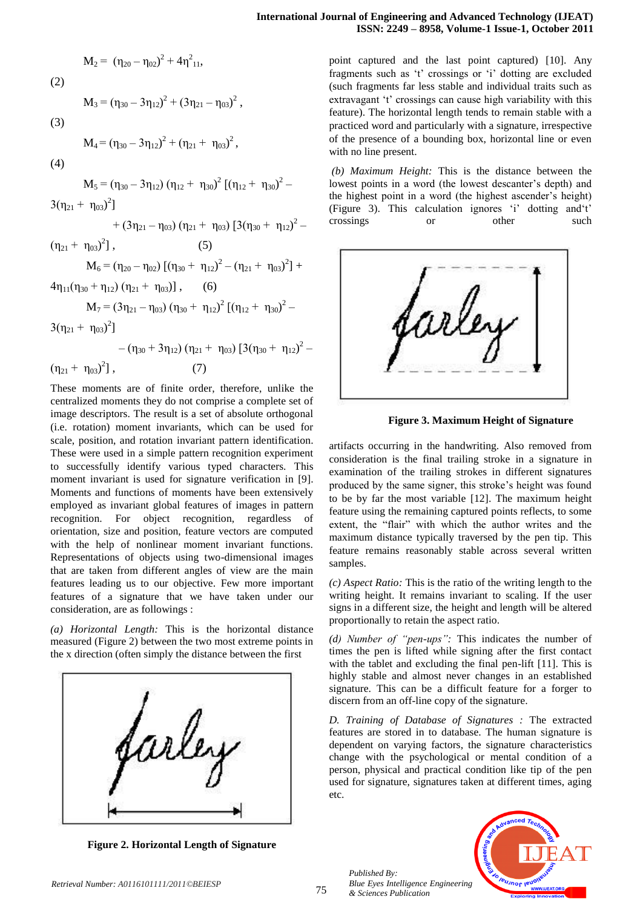$$
M_2 = (\eta_{20} - \eta_{02})^2 + 4\eta_{11}^2,
$$
  
(2)

$$
M_3\,{=}\,\left(\eta_{30}\,{-}\,3\eta_{12}\right)^2\,{+}\,\left(3\eta_{21}-\eta_{03}\right)^2\,,
$$

$$
(3)
$$

$$
M_4 = (\eta_{30} - 3\eta_{12})^2 + (\eta_{21} + \eta_{03})^2,
$$

(4)

$$
M_5=(\eta_{30}-3\eta_{12})\left(\eta_{12}+\ \eta_{30}\right)^2\left[\left(\eta_{12}+\ \eta_{30}\right)^2-\right]
$$

 $3(\eta_{21} + \eta_{03})^2$ ]

 $+ (3\eta_{21} - \eta_{03}) (\eta_{21} + \eta_{03}) [3(\eta_{30} + \eta_{12})^2 (5)$ 

 $(\eta_{21} + \eta_{03})^2$ 

 $M_6 = (\eta_{20} - \eta_{02}) [(\eta_{30} + \eta_{12})^2 - (\eta_{21} + \eta_{03})^2] +$  $4\eta_{11}(\eta_{30} + \eta_{12}) (\eta_{21} + \eta_{03})$ , (6)

$$
M_7\,{=}\,(3\eta_{21}\,{-}\,\eta_{03})\,(\eta_{30}+\,\eta_{12})^2\,[(\eta_{12}+\,\eta_{30})^2\,{-}
$$

 $3(\eta_{21} + \eta_{03})^2$ ]

 $-(\eta_{30} + 3\eta_{12}) (\eta_{21} + \eta_{03}) [3(\eta_{30} + \eta_{12})^2 (\eta_{21} + \eta_{03})^2$  $(7)$ 

These moments are of finite order, therefore, unlike the centralized moments they do not comprise a complete set of image descriptors. The result is a set of absolute orthogonal (i.e. rotation) moment invariants, which can be used for scale, position, and rotation invariant pattern identification. These were used in a simple pattern recognition experiment to successfully identify various typed characters. This moment invariant is used for signature verification in [9]. Moments and functions of moments have been extensively employed as invariant global features of images in pattern recognition. For object recognition, regardless of orientation, size and position, feature vectors are computed with the help of nonlinear moment invariant functions. Representations of objects using two-dimensional images that are taken from different angles of view are the main features leading us to our objective. Few more important features of a signature that we have taken under our consideration, are as followings :

*(a) Horizontal Length:* This is the horizontal distance measured (Figure 2) between the two most extreme points in the x direction (often simply the distance between the first



**Figure 2. Horizontal Length of Signature**

point captured and the last point captured) [10]. Any fragments such as 't' crossings or 'i' dotting are excluded (such fragments far less stable and individual traits such as extravagant 't' crossings can cause high variability with this feature). The horizontal length tends to remain stable with a practiced word and particularly with a signature, irrespective of the presence of a bounding box, horizontal line or even with no line present.

*(b) Maximum Height:* This is the distance between the lowest points in a word (the lowest descanter's depth) and the highest point in a word (the highest ascender's height) (Figure 3). This calculation ignores 'i' dotting and't' crossings or other such



 **Figure 3. Maximum Height of Signature**

artifacts occurring in the handwriting. Also removed from consideration is the final trailing stroke in a signature in examination of the trailing strokes in different signatures produced by the same signer, this stroke's height was found to be by far the most variable [12]. The maximum height feature using the remaining captured points reflects, to some extent, the "flair" with which the author writes and the maximum distance typically traversed by the pen tip. This feature remains reasonably stable across several written samples.

*(c) Aspect Ratio:* This is the ratio of the writing length to the writing height. It remains invariant to scaling. If the user signs in a different size, the height and length will be altered proportionally to retain the aspect ratio.

*(d) Number of "pen-ups":* This indicates the number of times the pen is lifted while signing after the first contact with the tablet and excluding the final pen-lift [11]. This is highly stable and almost never changes in an established signature. This can be a difficult feature for a forger to discern from an off-line copy of the signature.

*D. Training of Database of Signatures :* The extracted features are stored in to database. The human signature is dependent on varying factors, the signature characteristics change with the psychological or mental condition of a person, physical and practical condition like tip of the pen used for signature, signatures taken at different times, aging etc.



*Published By:*

*& Sciences Publication* 

*Blue Eyes Intelligence Engineering*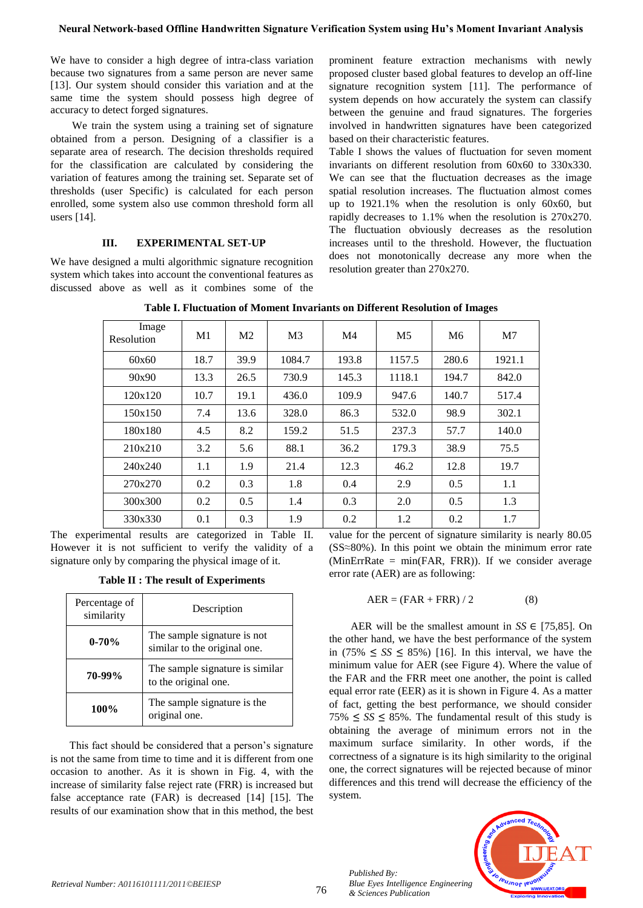We have to consider a high degree of intra-class variation because two signatures from a same person are never same [13]. Our system should consider this variation and at the same time the system should possess high degree of accuracy to detect forged signatures.

 We train the system using a training set of signature obtained from a person. Designing of a classifier is a separate area of research. The decision thresholds required for the classification are calculated by considering the variation of features among the training set. Separate set of thresholds (user Specific) is calculated for each person enrolled, some system also use common threshold form all users [14].

# **III. EXPERIMENTAL SET-UP**

We have designed a multi algorithmic signature recognition system which takes into account the conventional features as discussed above as well as it combines some of the

prominent feature extraction mechanisms with newly proposed cluster based global features to develop an off-line signature recognition system [11]. The performance of system depends on how accurately the system can classify between the genuine and fraud signatures. The forgeries involved in handwritten signatures have been categorized based on their characteristic features.

Table I shows the values of fluctuation for seven moment invariants on different resolution from 60x60 to 330x330. We can see that the fluctuation decreases as the image spatial resolution increases. The fluctuation almost comes up to 1921.1% when the resolution is only 60x60, but rapidly decreases to 1.1% when the resolution is 270x270. The fluctuation obviously decreases as the resolution increases until to the threshold. However, the fluctuation does not monotonically decrease any more when the resolution greater than 270x270.

| Image<br>Resolution | M1   | M <sub>2</sub> | M <sub>3</sub> | M <sub>4</sub> | M <sub>5</sub> | M <sub>6</sub> | M <sub>7</sub> |
|---------------------|------|----------------|----------------|----------------|----------------|----------------|----------------|
| 60x60               | 18.7 | 39.9           | 1084.7         | 193.8          | 1157.5         | 280.6          | 1921.1         |
| 90x90               | 13.3 | 26.5           | 730.9          | 145.3          | 1118.1         | 194.7          | 842.0          |
| 120x120             | 10.7 | 19.1           | 436.0          | 109.9          | 947.6          | 140.7          | 517.4          |
| 150x150             | 7.4  | 13.6           | 328.0          | 86.3           | 532.0          | 98.9           | 302.1          |
| 180x180             | 4.5  | 8.2            | 159.2          | 51.5           | 237.3          | 57.7           | 140.0          |
| 210x210             | 3.2  | 5.6            | 88.1           | 36.2           | 179.3          | 38.9           | 75.5           |
| 240x240             | 1.1  | 1.9            | 21.4           | 12.3           | 46.2           | 12.8           | 19.7           |
| 270x270             | 0.2  | 0.3            | 1.8            | 0.4            | 2.9            | 0.5            | 1.1            |
| 300x300             | 0.2  | 0.5            | 1.4            | 0.3            | 2.0            | 0.5            | 1.3            |
| 330x330             | 0.1  | 0.3            | 1.9            | 0.2            | 1.2            | 0.2            | 1.7            |

**Table I. Fluctuation of Moment Invariants on Different Resolution of Images**

The experimental results are categorized in Table II. However it is not sufficient to verify the validity of a signature only by comparing the physical image of it.

**Table II : The result of Experiments**

| Percentage of<br>similarity | Description                                                 |  |  |
|-----------------------------|-------------------------------------------------------------|--|--|
| $0 - 70%$                   | The sample signature is not<br>similar to the original one. |  |  |
| 70-99%                      | The sample signature is similar<br>to the original one.     |  |  |
| 100%                        | The sample signature is the<br>original one.                |  |  |

 This fact should be considered that a person's signature is not the same from time to time and it is different from one occasion to another. As it is shown in Fig. 4, with the increase of similarity false reject rate (FRR) is increased but false acceptance rate (FAR) is decreased [14] [15]. The results of our examination show that in this method, the best value for the percent of signature similarity is nearly 80.05 (SS≈80%). In this point we obtain the minimum error rate (MinErrRate = min(FAR, FRR)). If we consider average error rate (AER) are as following:

$$
AER = (FAR + FRR) / 2 \tag{8}
$$

AER will be the smallest amount in  $SS \in [75,85]$ . On the other hand, we have the best performance of the system in  $(75\% \leq S S \leq 85\%)$  [16]. In this interval, we have the minimum value for AER (see Figure 4). Where the value of the FAR and the FRR meet one another, the point is called equal error rate (EER) as it is shown in Figure 4. As a matter of fact, getting the best performance, we should consider 75% ≤  $SS$  ≤ 85%. The fundamental result of this study is obtaining the average of minimum errors not in the maximum surface similarity. In other words, if the correctness of a signature is its high similarity to the original one, the correct signatures will be rejected because of minor differences and this trend will decrease the efficiency of the system.



*Published By:*

*& Sciences Publication*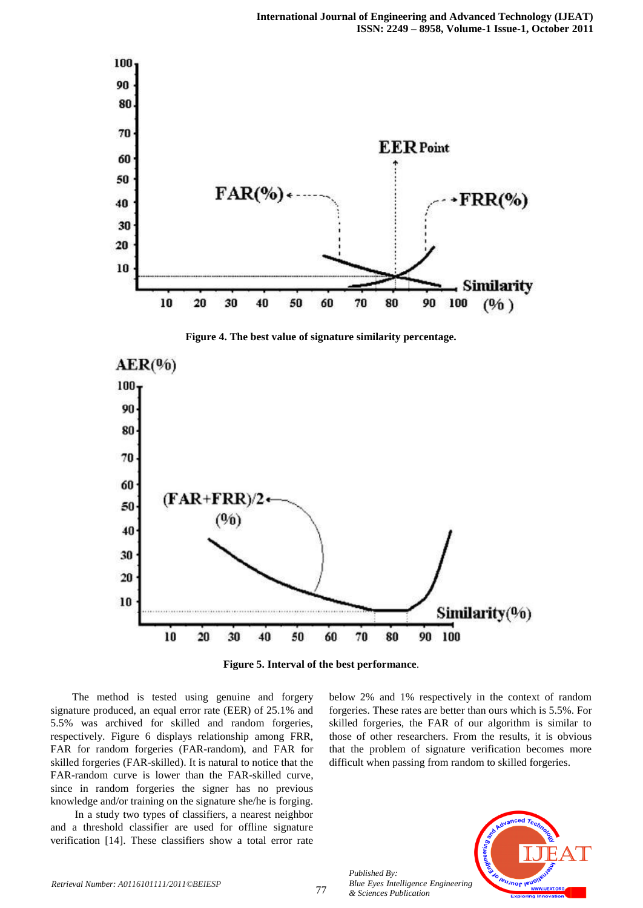

**Figure 4. The best value of signature similarity percentage.**



**Figure 5. Interval of the best performance**.

 The method is tested using genuine and forgery signature produced, an equal error rate (EER) of 25.1% and 5.5% was archived for skilled and random forgeries, respectively. Figure 6 displays relationship among FRR, FAR for random forgeries (FAR-random), and FAR for skilled forgeries (FAR-skilled). It is natural to notice that the FAR-random curve is lower than the FAR-skilled curve, since in random forgeries the signer has no previous knowledge and/or training on the signature she/he is forging.

 In a study two types of classifiers, a nearest neighbor and a threshold classifier are used for offline signature verification [14]. These classifiers show a total error rate

below 2% and 1% respectively in the context of random forgeries. These rates are better than ours which is 5.5%. For skilled forgeries, the FAR of our algorithm is similar to those of other researchers. From the results, it is obvious that the problem of signature verification becomes more difficult when passing from random to skilled forgeries.



*Published By: Blue Eyes Intelligence Engineering & Sciences Publication*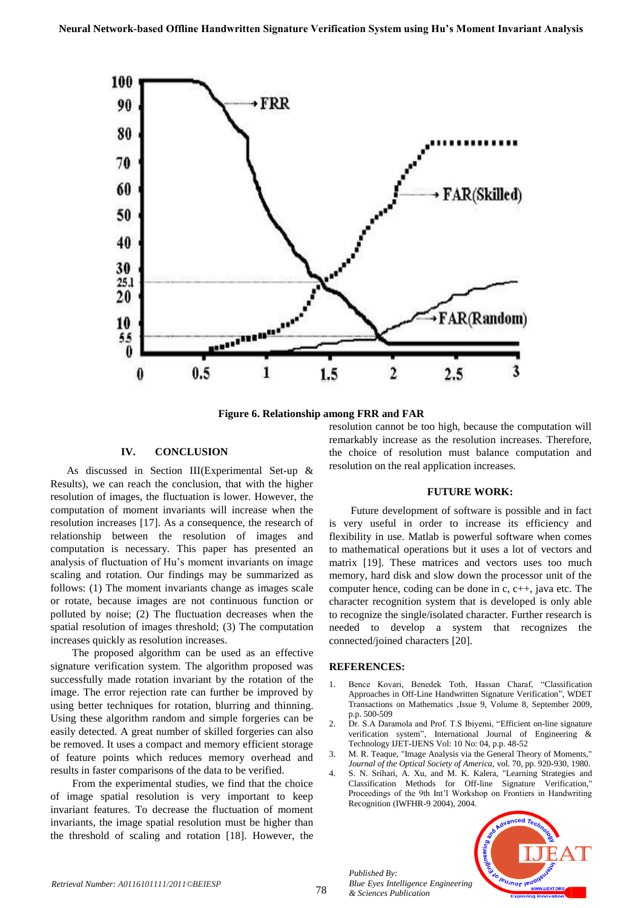

**Figure 6. Relationship among FRR and FAR**

# **IV. CONCLUSION**

 As discussed in Section III(Experimental Set-up & Results), we can reach the conclusion, that with the higher resolution of images, the fluctuation is lower. However, the computation of moment invariants will increase when the resolution increases [17]. As a consequence, the research of relationship between the resolution of images and computation is necessary. This paper has presented an analysis of fluctuation of Hu's moment invariants on image scaling and rotation. Our findings may be summarized as follows: (1) The moment invariants change as images scale or rotate, because images are not continuous function or polluted by noise; (2) The fluctuation decreases when the spatial resolution of images threshold; (3) The computation increases quickly as resolution increases.

 The proposed algorithm can be used as an effective signature verification system. The algorithm proposed was successfully made rotation invariant by the rotation of the image. The error rejection rate can further be improved by using better techniques for rotation, blurring and thinning. Using these algorithm random and simple forgeries can be easily detected. A great number of skilled forgeries can also be removed. It uses a compact and memory efficient storage of feature points which reduces memory overhead and results in faster comparisons of the data to be verified.

 From the experimental studies, we find that the choice of image spatial resolution is very important to keep invariant features. To decrease the fluctuation of moment invariants, the image spatial resolution must be higher than the threshold of scaling and rotation [18]. However, the resolution cannot be too high, because the computation will remarkably increase as the resolution increases. Therefore, the choice of resolution must balance computation and resolution on the real application increases.

#### **FUTURE WORK:**

 Future development of software is possible and in fact is very useful in order to increase its efficiency and flexibility in use. Matlab is powerful software when comes to mathematical operations but it uses a lot of vectors and matrix [19]. These matrices and vectors uses too much memory, hard disk and slow down the processor unit of the computer hence, coding can be done in c, c++, java etc. The character recognition system that is developed is only able to recognize the single/isolated character. Further research is needed to develop a system that recognizes the connected/joined characters [20].

#### **REFERENCES:**

*Published By:*

*& Sciences Publication* 

*Blue Eyes Intelligence Engineering* 

- 1. Bence Kovari, Benedek Toth, Hassan Charaf, "Classification Approaches in Off-Line Handwritten Signature Verification", WDET Transactions on Mathematics ,Issue 9, Volume 8, September 2009, p.p. 500-509
- 2. Dr. S.A Daramola and Prof. T.S Ibiyemi, "Efficient on-line signature verification system", International Journal of Engineering & Technology IJET-IJENS Vol: 10 No: 04, p.p. 48-52
- 3. M. R. Teaque, "Image Analysis via the General Theory of Moments," *Journal of the Optical Society of America,* vol. 70, pp. 920-930, 1980.
- 4. S. N. Srihari, A. Xu, and M. K. Kalera, "Learning Strategies and Classification Methods for Off-line Signature Verification," Proceedings of the 9th Int'l Workshop on Frontiers in Handwriting Recognition (IWFHR-9 2004), 2004.